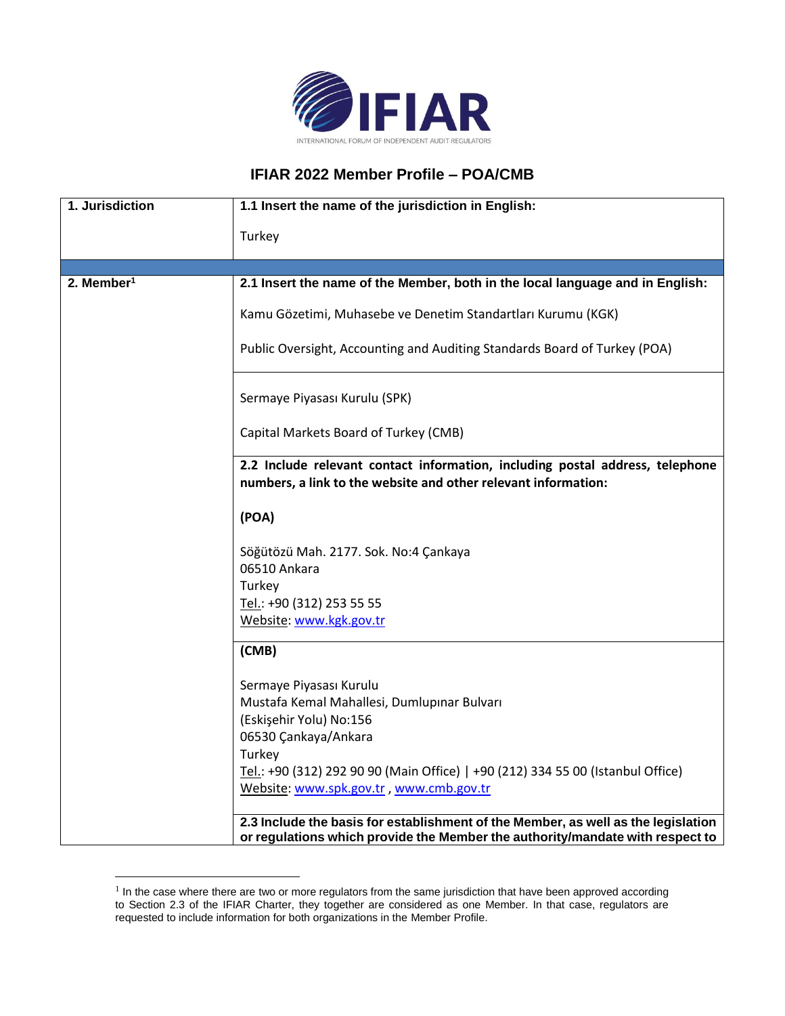

## **IFIAR 2022 Member Profile – POA/CMB**

| 1. Jurisdiction        | 1.1 Insert the name of the jurisdiction in English:                                                                                             |
|------------------------|-------------------------------------------------------------------------------------------------------------------------------------------------|
|                        | Turkey                                                                                                                                          |
|                        |                                                                                                                                                 |
| 2. Member <sup>1</sup> | 2.1 Insert the name of the Member, both in the local language and in English:                                                                   |
|                        | Kamu Gözetimi, Muhasebe ve Denetim Standartları Kurumu (KGK)                                                                                    |
|                        | Public Oversight, Accounting and Auditing Standards Board of Turkey (POA)                                                                       |
|                        | Sermaye Piyasası Kurulu (SPK)                                                                                                                   |
|                        | Capital Markets Board of Turkey (CMB)                                                                                                           |
|                        | 2.2 Include relevant contact information, including postal address, telephone<br>numbers, a link to the website and other relevant information: |
|                        | (POA)                                                                                                                                           |
|                        | Söğütözü Mah. 2177. Sok. No:4 Çankaya                                                                                                           |
|                        | 06510 Ankara                                                                                                                                    |
|                        | Turkey                                                                                                                                          |
|                        | Tel.: +90 (312) 253 55 55                                                                                                                       |
|                        | Website: www.kgk.gov.tr                                                                                                                         |
|                        | (CMB)                                                                                                                                           |
|                        | Sermaye Piyasası Kurulu                                                                                                                         |
|                        | Mustafa Kemal Mahallesi, Dumlupınar Bulvarı                                                                                                     |
|                        | (Eskişehir Yolu) No:156                                                                                                                         |
|                        | 06530 Çankaya/Ankara                                                                                                                            |
|                        | Turkey                                                                                                                                          |
|                        | Tel.: +90 (312) 292 90 90 (Main Office)   +90 (212) 334 55 00 (Istanbul Office)                                                                 |
|                        | Website: www.spk.gov.tr, www.cmb.gov.tr                                                                                                         |

<sup>&</sup>lt;sup>1</sup> In the case where there are two or more regulators from the same jurisdiction that have been approved according to Section 2.3 of the IFIAR Charter, they together are considered as one Member. In that case, regulators are requested to include information for both organizations in the Member Profile.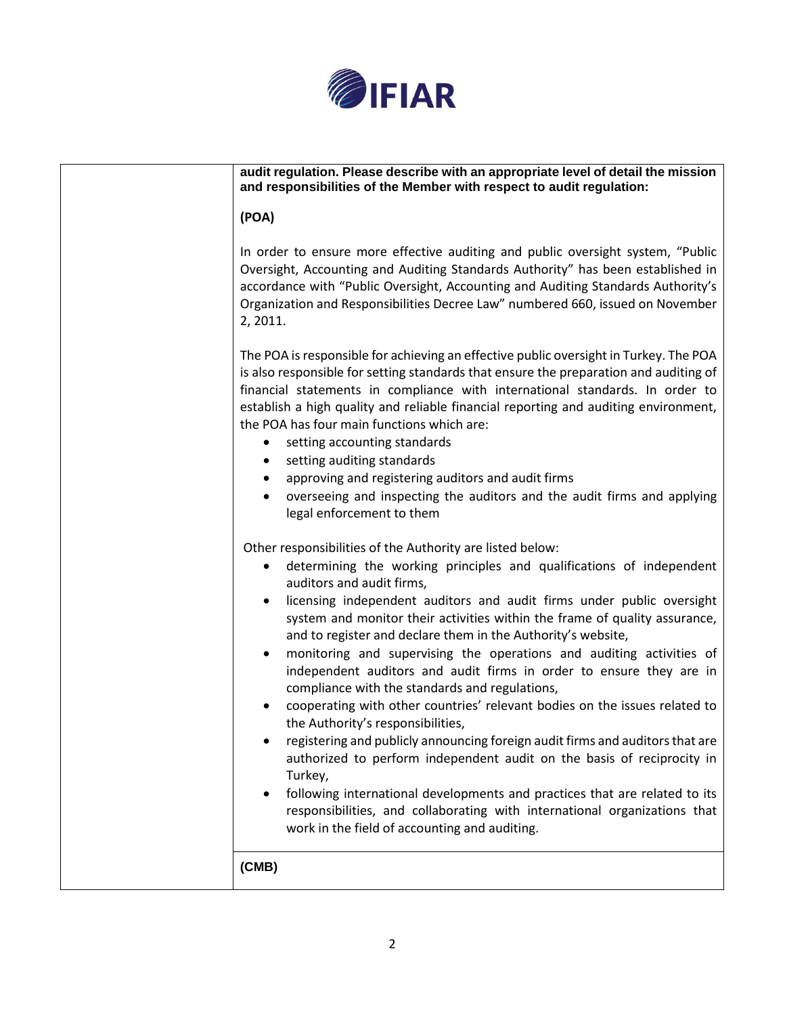

| audit regulation. Please describe with an appropriate level of detail the mission<br>and responsibilities of the Member with respect to audit regulation:                                                                                                                                                                                                                                                                                                                                                                                                                                                                                                                                                                                                                                                                                                                                                                                                                                                                                                                                        |
|--------------------------------------------------------------------------------------------------------------------------------------------------------------------------------------------------------------------------------------------------------------------------------------------------------------------------------------------------------------------------------------------------------------------------------------------------------------------------------------------------------------------------------------------------------------------------------------------------------------------------------------------------------------------------------------------------------------------------------------------------------------------------------------------------------------------------------------------------------------------------------------------------------------------------------------------------------------------------------------------------------------------------------------------------------------------------------------------------|
| (POA)                                                                                                                                                                                                                                                                                                                                                                                                                                                                                                                                                                                                                                                                                                                                                                                                                                                                                                                                                                                                                                                                                            |
| In order to ensure more effective auditing and public oversight system, "Public<br>Oversight, Accounting and Auditing Standards Authority" has been established in<br>accordance with "Public Oversight, Accounting and Auditing Standards Authority's<br>Organization and Responsibilities Decree Law" numbered 660, issued on November<br>2, 2011.                                                                                                                                                                                                                                                                                                                                                                                                                                                                                                                                                                                                                                                                                                                                             |
| The POA is responsible for achieving an effective public oversight in Turkey. The POA<br>is also responsible for setting standards that ensure the preparation and auditing of<br>financial statements in compliance with international standards. In order to<br>establish a high quality and reliable financial reporting and auditing environment,<br>the POA has four main functions which are:<br>setting accounting standards<br>setting auditing standards<br>٠<br>approving and registering auditors and audit firms<br>٠<br>overseeing and inspecting the auditors and the audit firms and applying<br>$\bullet$<br>legal enforcement to them                                                                                                                                                                                                                                                                                                                                                                                                                                           |
| Other responsibilities of the Authority are listed below:<br>determining the working principles and qualifications of independent<br>٠<br>auditors and audit firms,<br>licensing independent auditors and audit firms under public oversight<br>system and monitor their activities within the frame of quality assurance,<br>and to register and declare them in the Authority's website,<br>monitoring and supervising the operations and auditing activities of<br>independent auditors and audit firms in order to ensure they are in<br>compliance with the standards and regulations,<br>cooperating with other countries' relevant bodies on the issues related to<br>the Authority's responsibilities,<br>registering and publicly announcing foreign audit firms and auditors that are<br>authorized to perform independent audit on the basis of reciprocity in<br>Turkey,<br>following international developments and practices that are related to its<br>responsibilities, and collaborating with international organizations that<br>work in the field of accounting and auditing. |
| (CMB)                                                                                                                                                                                                                                                                                                                                                                                                                                                                                                                                                                                                                                                                                                                                                                                                                                                                                                                                                                                                                                                                                            |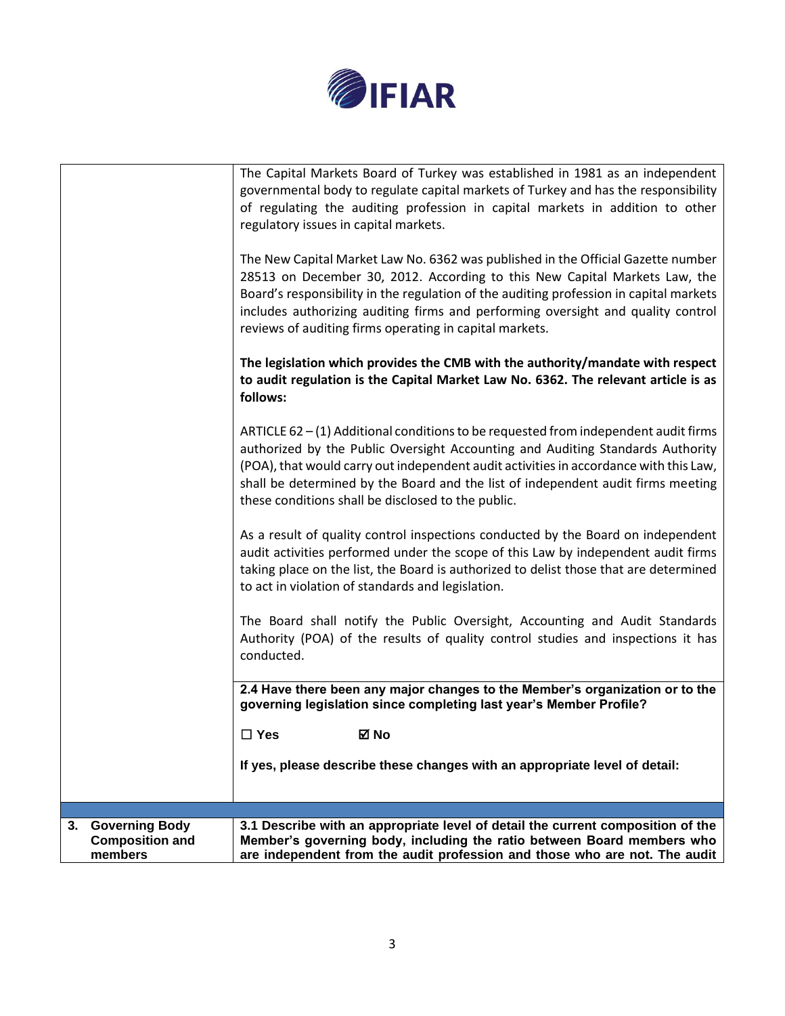

| <b>Governing Body</b><br>3.<br><b>Composition and</b><br>members | 3.1 Describe with an appropriate level of detail the current composition of the<br>Member's governing body, including the ratio between Board members who<br>are independent from the audit profession and those who are not. The audit                                                                                                                                                                  |
|------------------------------------------------------------------|----------------------------------------------------------------------------------------------------------------------------------------------------------------------------------------------------------------------------------------------------------------------------------------------------------------------------------------------------------------------------------------------------------|
|                                                                  |                                                                                                                                                                                                                                                                                                                                                                                                          |
|                                                                  | If yes, please describe these changes with an appropriate level of detail:                                                                                                                                                                                                                                                                                                                               |
|                                                                  | $\square$ Yes<br>⊠ No                                                                                                                                                                                                                                                                                                                                                                                    |
|                                                                  | 2.4 Have there been any major changes to the Member's organization or to the<br>governing legislation since completing last year's Member Profile?                                                                                                                                                                                                                                                       |
|                                                                  | Authority (POA) of the results of quality control studies and inspections it has<br>conducted.                                                                                                                                                                                                                                                                                                           |
|                                                                  | The Board shall notify the Public Oversight, Accounting and Audit Standards                                                                                                                                                                                                                                                                                                                              |
|                                                                  | As a result of quality control inspections conducted by the Board on independent<br>audit activities performed under the scope of this Law by independent audit firms<br>taking place on the list, the Board is authorized to delist those that are determined<br>to act in violation of standards and legislation.                                                                                      |
|                                                                  | ARTICLE 62 – (1) Additional conditions to be requested from independent audit firms<br>authorized by the Public Oversight Accounting and Auditing Standards Authority<br>(POA), that would carry out independent audit activities in accordance with this Law,<br>shall be determined by the Board and the list of independent audit firms meeting<br>these conditions shall be disclosed to the public. |
|                                                                  | The legislation which provides the CMB with the authority/mandate with respect<br>to audit regulation is the Capital Market Law No. 6362. The relevant article is as<br>follows:                                                                                                                                                                                                                         |
|                                                                  | The New Capital Market Law No. 6362 was published in the Official Gazette number<br>28513 on December 30, 2012. According to this New Capital Markets Law, the<br>Board's responsibility in the regulation of the auditing profession in capital markets<br>includes authorizing auditing firms and performing oversight and quality control<br>reviews of auditing firms operating in capital markets.  |
|                                                                  | The Capital Markets Board of Turkey was established in 1981 as an independent<br>governmental body to regulate capital markets of Turkey and has the responsibility<br>of regulating the auditing profession in capital markets in addition to other<br>regulatory issues in capital markets.                                                                                                            |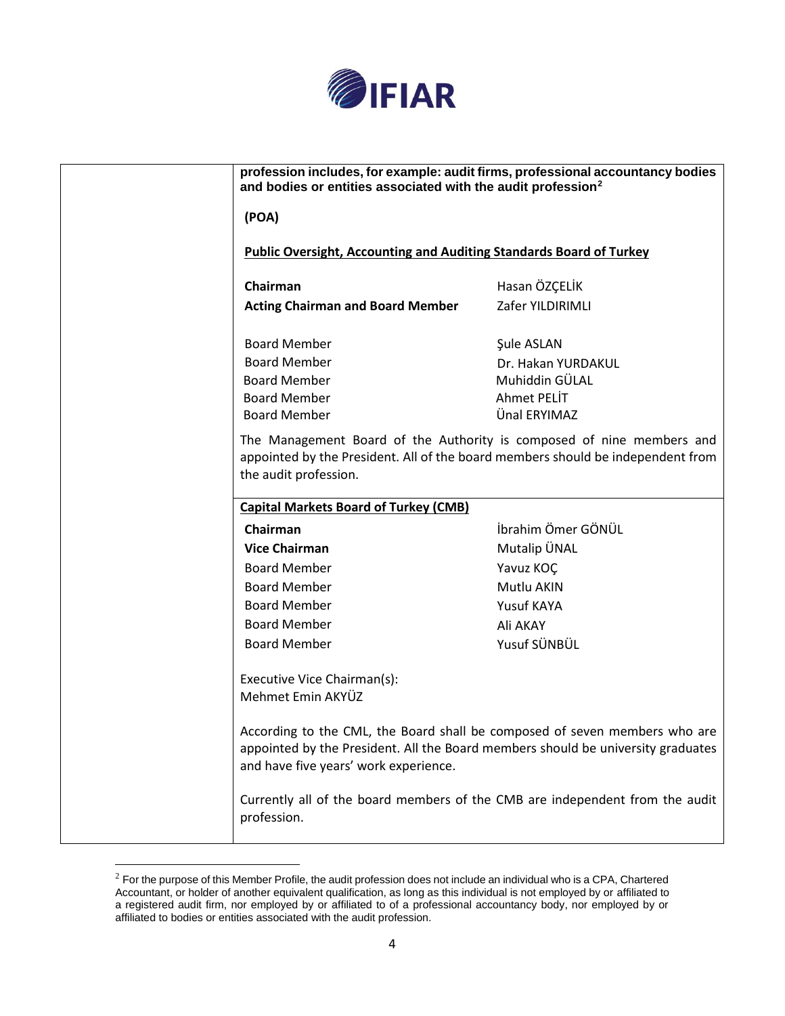

| (POA)                                                               |                                                                                                                                                                |
|---------------------------------------------------------------------|----------------------------------------------------------------------------------------------------------------------------------------------------------------|
| Public Oversight, Accounting and Auditing Standards Board of Turkey |                                                                                                                                                                |
| Chairman                                                            | Hasan ÖZÇELİK                                                                                                                                                  |
| <b>Acting Chairman and Board Member</b>                             | Zafer YILDIRIMLI                                                                                                                                               |
| <b>Board Member</b>                                                 | Şule ASLAN                                                                                                                                                     |
| <b>Board Member</b>                                                 | Dr. Hakan YURDAKUL                                                                                                                                             |
| <b>Board Member</b>                                                 | Muhiddin GÜLAL                                                                                                                                                 |
| <b>Board Member</b>                                                 | Ahmet PELIT                                                                                                                                                    |
| <b>Board Member</b>                                                 | Ünal ERYIMAZ                                                                                                                                                   |
| <b>Capital Markets Board of Turkey (CMB)</b>                        |                                                                                                                                                                |
| Chairman                                                            | İbrahim Ömer GÖNÜL                                                                                                                                             |
| <b>Vice Chairman</b>                                                | Mutalip ÜNAL                                                                                                                                                   |
| <b>Board Member</b>                                                 | Yavuz KOÇ                                                                                                                                                      |
| <b>Board Member</b>                                                 | Mutlu AKIN                                                                                                                                                     |
| <b>Board Member</b>                                                 | Yusuf KAYA                                                                                                                                                     |
| <b>Board Member</b>                                                 | Ali AKAY                                                                                                                                                       |
| <b>Board Member</b>                                                 | Yusuf SÜNBÜL                                                                                                                                                   |
| Executive Vice Chairman(s):                                         |                                                                                                                                                                |
|                                                                     |                                                                                                                                                                |
| Mehmet Emin AKYÜZ<br>and have five years' work experience.          | According to the CML, the Board shall be composed of seven members who are<br>appointed by the President. All the Board members should be university graduates |

 $2$  For the purpose of this Member Profile, the audit profession does not include an individual who is a CPA, Chartered Accountant, or holder of another equivalent qualification, as long as this individual is not employed by or affiliated to a registered audit firm, nor employed by or affiliated to of a professional accountancy body, nor employed by or affiliated to bodies or entities associated with the audit profession.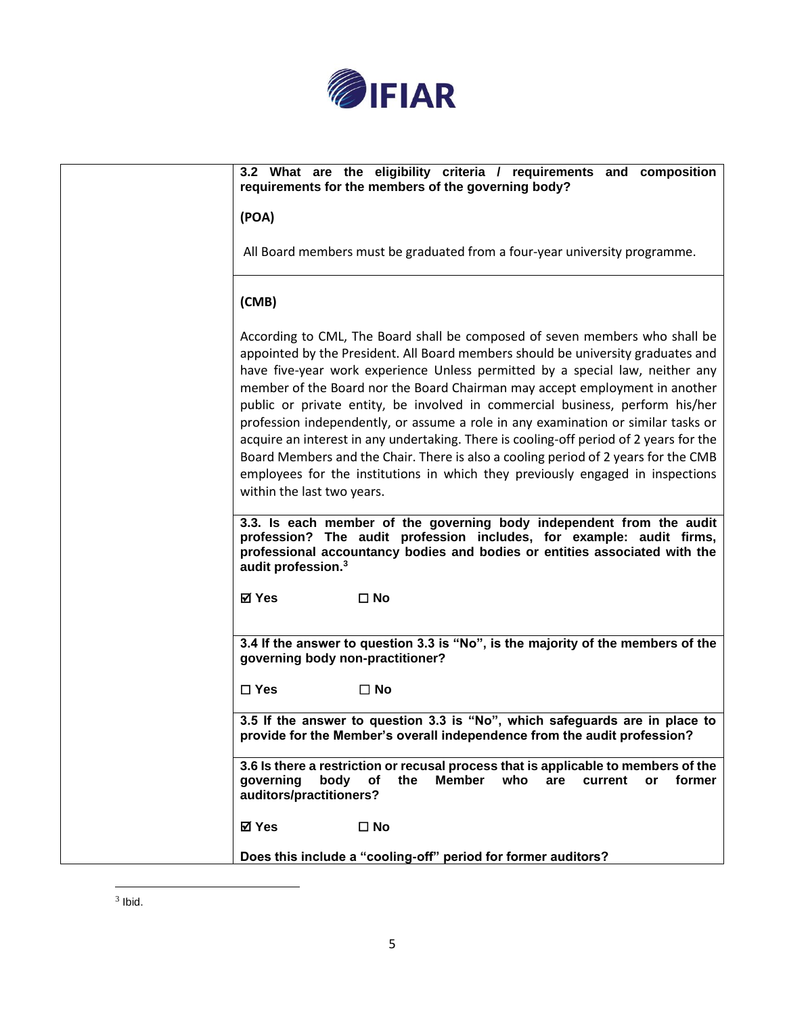

| 3.2 What are the eligibility criteria / requirements and composition<br>requirements for the members of the governing body?                                                                                                                                                                                                                                                                                                                                                                                                                                                                                                                                                                                                                                                                                                                                                                                                                                                                                                                                           |
|-----------------------------------------------------------------------------------------------------------------------------------------------------------------------------------------------------------------------------------------------------------------------------------------------------------------------------------------------------------------------------------------------------------------------------------------------------------------------------------------------------------------------------------------------------------------------------------------------------------------------------------------------------------------------------------------------------------------------------------------------------------------------------------------------------------------------------------------------------------------------------------------------------------------------------------------------------------------------------------------------------------------------------------------------------------------------|
| (POA)                                                                                                                                                                                                                                                                                                                                                                                                                                                                                                                                                                                                                                                                                                                                                                                                                                                                                                                                                                                                                                                                 |
| All Board members must be graduated from a four-year university programme.                                                                                                                                                                                                                                                                                                                                                                                                                                                                                                                                                                                                                                                                                                                                                                                                                                                                                                                                                                                            |
| (CMB)                                                                                                                                                                                                                                                                                                                                                                                                                                                                                                                                                                                                                                                                                                                                                                                                                                                                                                                                                                                                                                                                 |
| According to CML, The Board shall be composed of seven members who shall be<br>appointed by the President. All Board members should be university graduates and<br>have five-year work experience Unless permitted by a special law, neither any<br>member of the Board nor the Board Chairman may accept employment in another<br>public or private entity, be involved in commercial business, perform his/her<br>profession independently, or assume a role in any examination or similar tasks or<br>acquire an interest in any undertaking. There is cooling-off period of 2 years for the<br>Board Members and the Chair. There is also a cooling period of 2 years for the CMB<br>employees for the institutions in which they previously engaged in inspections<br>within the last two years.<br>3.3. Is each member of the governing body independent from the audit<br>profession? The audit profession includes, for example: audit firms,<br>professional accountancy bodies and bodies or entities associated with the<br>audit profession. <sup>3</sup> |
| <b>⊠</b> Yes<br>$\square$ No                                                                                                                                                                                                                                                                                                                                                                                                                                                                                                                                                                                                                                                                                                                                                                                                                                                                                                                                                                                                                                          |
| 3.4 If the answer to question 3.3 is "No", is the majority of the members of the<br>governing body non-practitioner?                                                                                                                                                                                                                                                                                                                                                                                                                                                                                                                                                                                                                                                                                                                                                                                                                                                                                                                                                  |
| $\square$ Yes<br>$\square$ No                                                                                                                                                                                                                                                                                                                                                                                                                                                                                                                                                                                                                                                                                                                                                                                                                                                                                                                                                                                                                                         |
| 3.5 If the answer to question 3.3 is "No", which safeguards are in place to<br>provide for the Member's overall independence from the audit profession?                                                                                                                                                                                                                                                                                                                                                                                                                                                                                                                                                                                                                                                                                                                                                                                                                                                                                                               |
| 3.6 Is there a restriction or recusal process that is applicable to members of the<br>the<br>Member<br>who<br>governing<br>body<br>of<br>are<br>current<br>or<br>former<br>auditors/practitioners?                                                                                                                                                                                                                                                                                                                                                                                                                                                                                                                                                                                                                                                                                                                                                                                                                                                                    |
| <b>⊠</b> Yes<br>$\square$ No                                                                                                                                                                                                                                                                                                                                                                                                                                                                                                                                                                                                                                                                                                                                                                                                                                                                                                                                                                                                                                          |
| Does this include a "cooling-off" period for former auditors?                                                                                                                                                                                                                                                                                                                                                                                                                                                                                                                                                                                                                                                                                                                                                                                                                                                                                                                                                                                                         |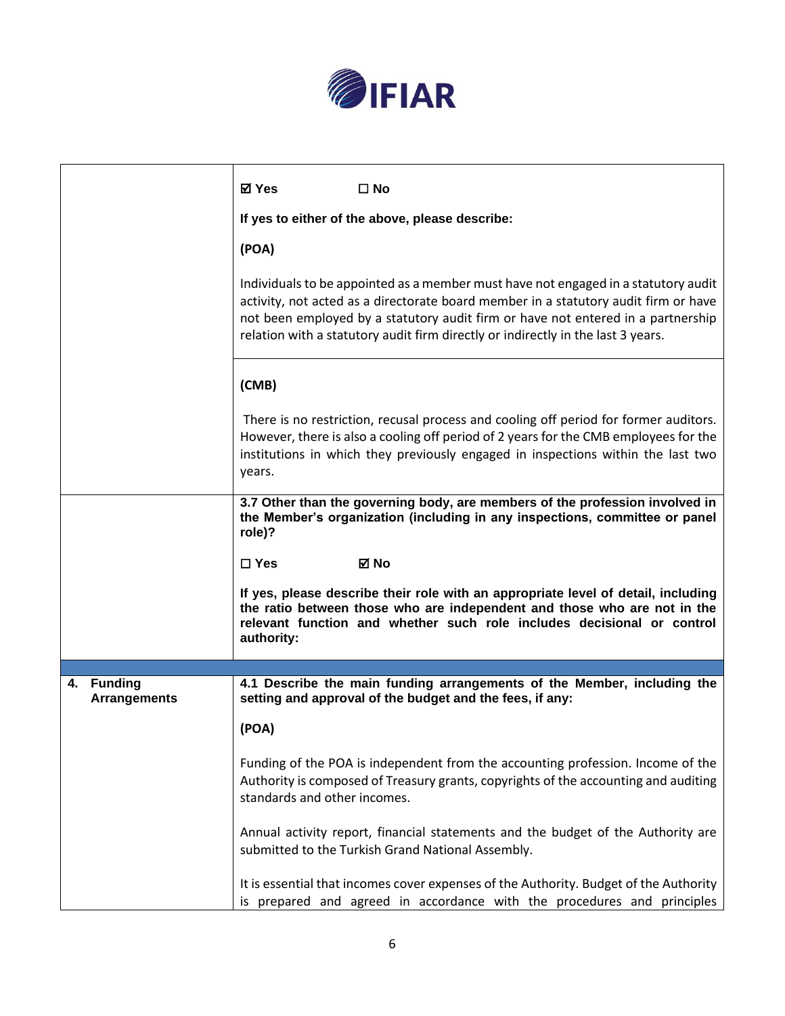

|                                   | <b>⊠</b> Yes<br>$\square$ No                                                                                                                                                                                                                                                                                                                      |  |  |  |
|-----------------------------------|---------------------------------------------------------------------------------------------------------------------------------------------------------------------------------------------------------------------------------------------------------------------------------------------------------------------------------------------------|--|--|--|
|                                   | If yes to either of the above, please describe:                                                                                                                                                                                                                                                                                                   |  |  |  |
|                                   | (POA)                                                                                                                                                                                                                                                                                                                                             |  |  |  |
|                                   | Individuals to be appointed as a member must have not engaged in a statutory audit<br>activity, not acted as a directorate board member in a statutory audit firm or have<br>not been employed by a statutory audit firm or have not entered in a partnership<br>relation with a statutory audit firm directly or indirectly in the last 3 years. |  |  |  |
|                                   | (CMB)                                                                                                                                                                                                                                                                                                                                             |  |  |  |
|                                   | There is no restriction, recusal process and cooling off period for former auditors.<br>However, there is also a cooling off period of 2 years for the CMB employees for the<br>institutions in which they previously engaged in inspections within the last two<br>years.                                                                        |  |  |  |
|                                   | 3.7 Other than the governing body, are members of the profession involved in<br>the Member's organization (including in any inspections, committee or panel<br>role)?                                                                                                                                                                             |  |  |  |
|                                   | $\Box$ Yes<br>⊠ No                                                                                                                                                                                                                                                                                                                                |  |  |  |
|                                   | If yes, please describe their role with an appropriate level of detail, including<br>the ratio between those who are independent and those who are not in the<br>relevant function and whether such role includes decisional or control<br>authority:                                                                                             |  |  |  |
|                                   |                                                                                                                                                                                                                                                                                                                                                   |  |  |  |
| 4. Funding<br><b>Arrangements</b> | 4.1 Describe the main funding arrangements of the Member, including the<br>setting and approval of the budget and the fees, if any:                                                                                                                                                                                                               |  |  |  |
|                                   | (POA)                                                                                                                                                                                                                                                                                                                                             |  |  |  |
|                                   | Funding of the POA is independent from the accounting profession. Income of the<br>Authority is composed of Treasury grants, copyrights of the accounting and auditing<br>standards and other incomes.                                                                                                                                            |  |  |  |
|                                   | Annual activity report, financial statements and the budget of the Authority are<br>submitted to the Turkish Grand National Assembly.                                                                                                                                                                                                             |  |  |  |
|                                   | It is essential that incomes cover expenses of the Authority. Budget of the Authority<br>is prepared and agreed in accordance with the procedures and principles                                                                                                                                                                                  |  |  |  |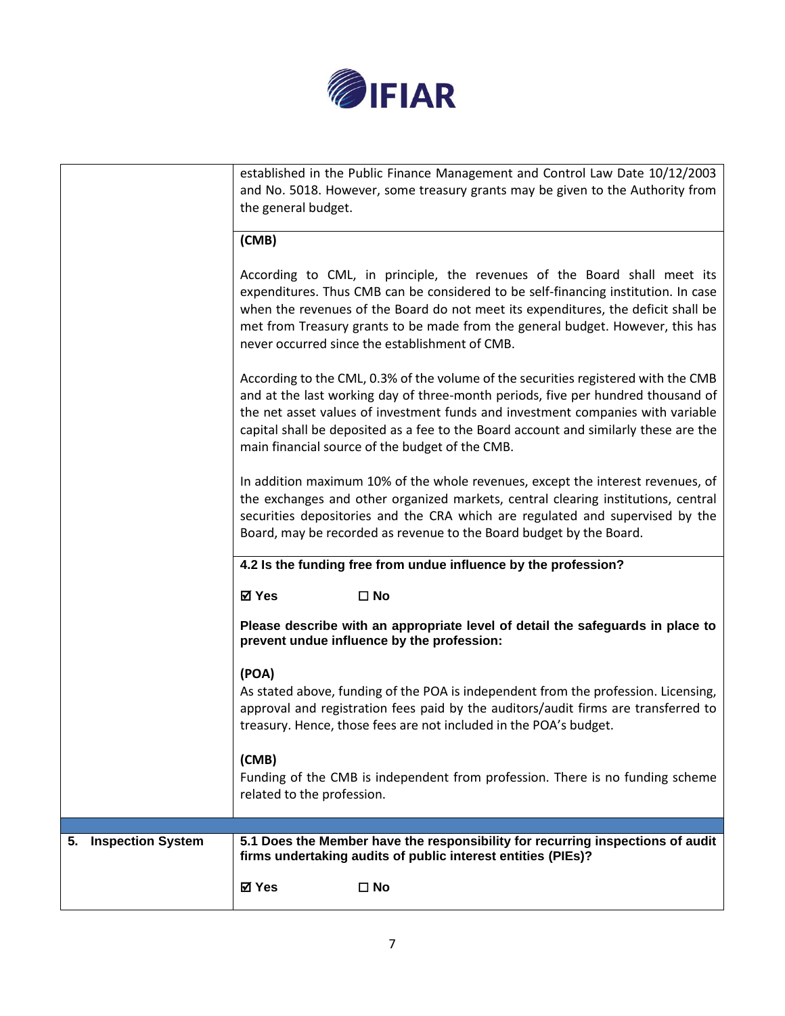

|                                | established in the Public Finance Management and Control Law Date 10/12/2003<br>and No. 5018. However, some treasury grants may be given to the Authority from<br>the general budget.                                                                                                                                                                                                                |
|--------------------------------|------------------------------------------------------------------------------------------------------------------------------------------------------------------------------------------------------------------------------------------------------------------------------------------------------------------------------------------------------------------------------------------------------|
|                                | (CMB)                                                                                                                                                                                                                                                                                                                                                                                                |
|                                | According to CML, in principle, the revenues of the Board shall meet its<br>expenditures. Thus CMB can be considered to be self-financing institution. In case<br>when the revenues of the Board do not meet its expenditures, the deficit shall be<br>met from Treasury grants to be made from the general budget. However, this has<br>never occurred since the establishment of CMB.              |
|                                | According to the CML, 0.3% of the volume of the securities registered with the CMB<br>and at the last working day of three-month periods, five per hundred thousand of<br>the net asset values of investment funds and investment companies with variable<br>capital shall be deposited as a fee to the Board account and similarly these are the<br>main financial source of the budget of the CMB. |
|                                | In addition maximum 10% of the whole revenues, except the interest revenues, of<br>the exchanges and other organized markets, central clearing institutions, central<br>securities depositories and the CRA which are regulated and supervised by the<br>Board, may be recorded as revenue to the Board budget by the Board.                                                                         |
|                                | 4.2 Is the funding free from undue influence by the profession?                                                                                                                                                                                                                                                                                                                                      |
|                                | ⊠ Yes<br>$\square$ No                                                                                                                                                                                                                                                                                                                                                                                |
|                                | Please describe with an appropriate level of detail the safeguards in place to<br>prevent undue influence by the profession:                                                                                                                                                                                                                                                                         |
|                                | (POA)<br>As stated above, funding of the POA is independent from the profession. Licensing,<br>approval and registration fees paid by the auditors/audit firms are transferred to<br>treasury. Hence, those fees are not included in the POA's budget.                                                                                                                                               |
|                                | (CMB)<br>Funding of the CMB is independent from profession. There is no funding scheme<br>related to the profession.                                                                                                                                                                                                                                                                                 |
|                                |                                                                                                                                                                                                                                                                                                                                                                                                      |
| <b>Inspection System</b><br>5. | 5.1 Does the Member have the responsibility for recurring inspections of audit<br>firms undertaking audits of public interest entities (PIEs)?                                                                                                                                                                                                                                                       |
|                                | ☑ Yes<br>$\square$ No                                                                                                                                                                                                                                                                                                                                                                                |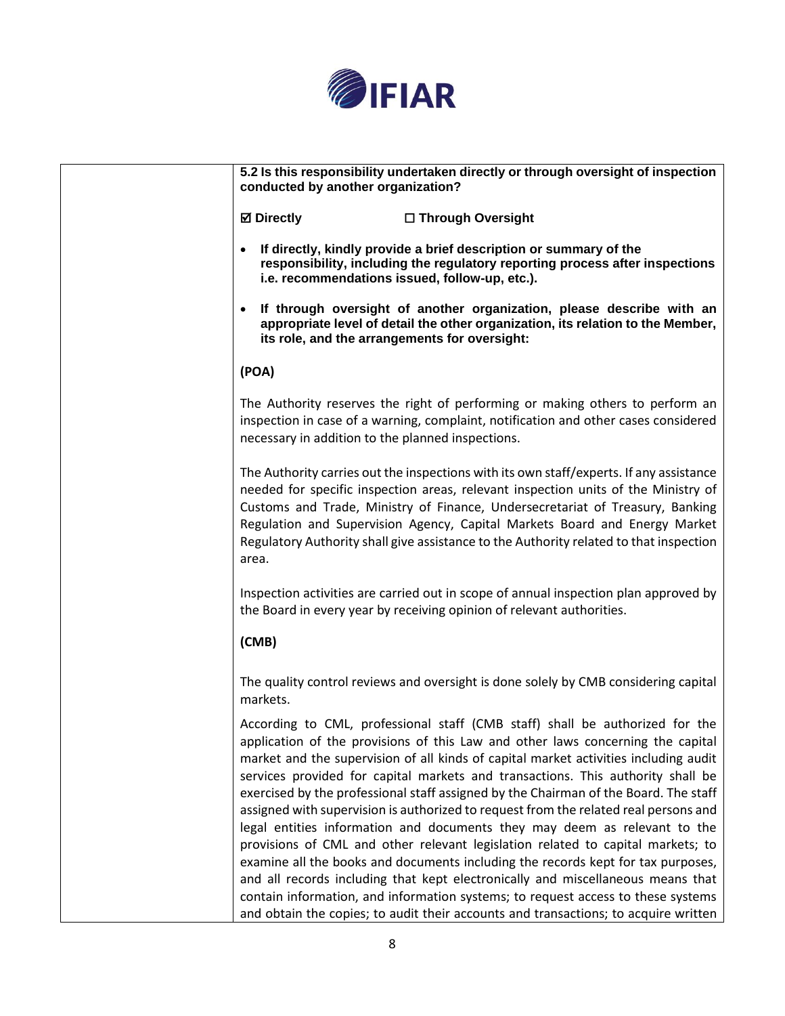

| 5.2 Is this responsibility undertaken directly or through oversight of inspection<br>conducted by another organization?                                                                                                                                                                                                                                                                                                                                                                                                                                                                                                                                                                                                                                                                                                                                                                                                                                                                                                                      |
|----------------------------------------------------------------------------------------------------------------------------------------------------------------------------------------------------------------------------------------------------------------------------------------------------------------------------------------------------------------------------------------------------------------------------------------------------------------------------------------------------------------------------------------------------------------------------------------------------------------------------------------------------------------------------------------------------------------------------------------------------------------------------------------------------------------------------------------------------------------------------------------------------------------------------------------------------------------------------------------------------------------------------------------------|
| <b>Ø</b> Directly<br>□ Through Oversight                                                                                                                                                                                                                                                                                                                                                                                                                                                                                                                                                                                                                                                                                                                                                                                                                                                                                                                                                                                                     |
| If directly, kindly provide a brief description or summary of the<br>responsibility, including the regulatory reporting process after inspections<br>i.e. recommendations issued, follow-up, etc.).                                                                                                                                                                                                                                                                                                                                                                                                                                                                                                                                                                                                                                                                                                                                                                                                                                          |
| If through oversight of another organization, please describe with an<br>$\bullet$<br>appropriate level of detail the other organization, its relation to the Member,<br>its role, and the arrangements for oversight:                                                                                                                                                                                                                                                                                                                                                                                                                                                                                                                                                                                                                                                                                                                                                                                                                       |
| (POA)                                                                                                                                                                                                                                                                                                                                                                                                                                                                                                                                                                                                                                                                                                                                                                                                                                                                                                                                                                                                                                        |
| The Authority reserves the right of performing or making others to perform an<br>inspection in case of a warning, complaint, notification and other cases considered<br>necessary in addition to the planned inspections.                                                                                                                                                                                                                                                                                                                                                                                                                                                                                                                                                                                                                                                                                                                                                                                                                    |
| The Authority carries out the inspections with its own staff/experts. If any assistance<br>needed for specific inspection areas, relevant inspection units of the Ministry of<br>Customs and Trade, Ministry of Finance, Undersecretariat of Treasury, Banking<br>Regulation and Supervision Agency, Capital Markets Board and Energy Market<br>Regulatory Authority shall give assistance to the Authority related to that inspection<br>area.                                                                                                                                                                                                                                                                                                                                                                                                                                                                                                                                                                                              |
| Inspection activities are carried out in scope of annual inspection plan approved by<br>the Board in every year by receiving opinion of relevant authorities.                                                                                                                                                                                                                                                                                                                                                                                                                                                                                                                                                                                                                                                                                                                                                                                                                                                                                |
| (CMB)                                                                                                                                                                                                                                                                                                                                                                                                                                                                                                                                                                                                                                                                                                                                                                                                                                                                                                                                                                                                                                        |
| The quality control reviews and oversight is done solely by CMB considering capital<br>markets.                                                                                                                                                                                                                                                                                                                                                                                                                                                                                                                                                                                                                                                                                                                                                                                                                                                                                                                                              |
| According to CML, professional staff (CMB staff) shall be authorized for the<br>application of the provisions of this Law and other laws concerning the capital<br>market and the supervision of all kinds of capital market activities including audit<br>services provided for capital markets and transactions. This authority shall be<br>exercised by the professional staff assigned by the Chairman of the Board. The staff<br>assigned with supervision is authorized to request from the related real persons and<br>legal entities information and documents they may deem as relevant to the<br>provisions of CML and other relevant legislation related to capital markets; to<br>examine all the books and documents including the records kept for tax purposes,<br>and all records including that kept electronically and miscellaneous means that<br>contain information, and information systems; to request access to these systems<br>and obtain the copies; to audit their accounts and transactions; to acquire written |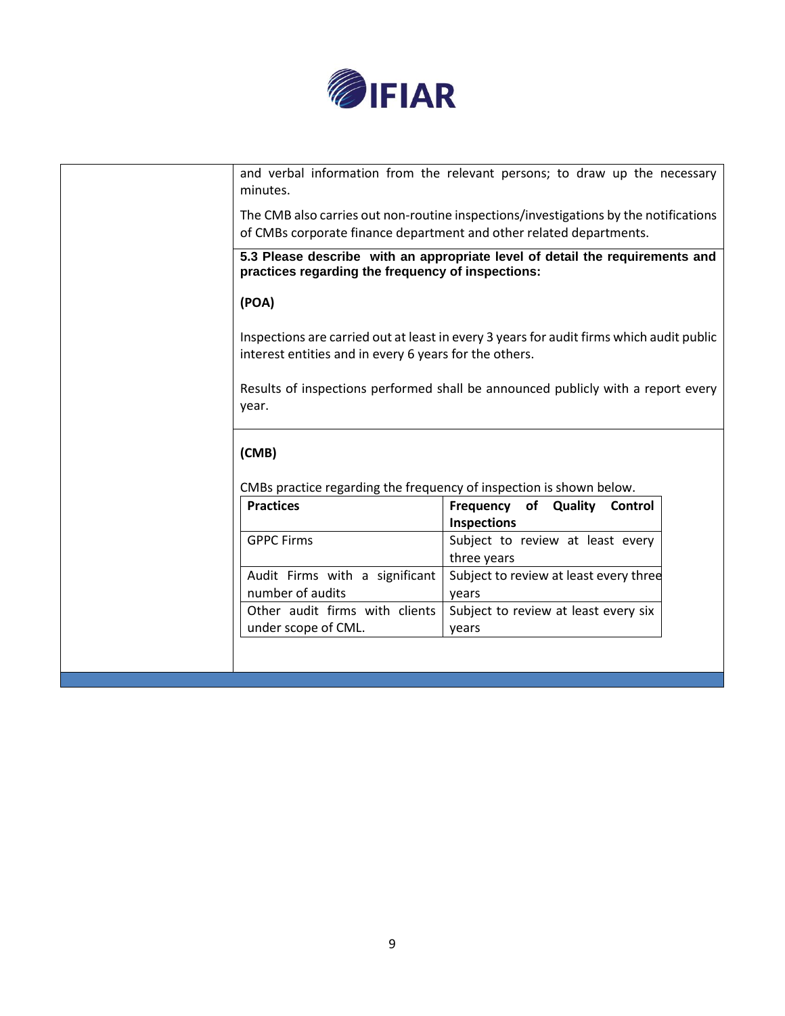

| minutes.                                                            | and verbal information from the relevant persons; to draw up the necessary                                                                                  |
|---------------------------------------------------------------------|-------------------------------------------------------------------------------------------------------------------------------------------------------------|
|                                                                     | The CMB also carries out non-routine inspections/investigations by the notifications<br>of CMBs corporate finance department and other related departments. |
| practices regarding the frequency of inspections:                   | 5.3 Please describe with an appropriate level of detail the requirements and                                                                                |
| (POA)                                                               |                                                                                                                                                             |
| interest entities and in every 6 years for the others.              | Inspections are carried out at least in every 3 years for audit firms which audit public                                                                    |
| year.                                                               | Results of inspections performed shall be announced publicly with a report every                                                                            |
| (CMB)                                                               |                                                                                                                                                             |
| CMBs practice regarding the frequency of inspection is shown below. |                                                                                                                                                             |
| <b>Practices</b>                                                    | Frequency<br>of Quality<br>Control<br><b>Inspections</b>                                                                                                    |
| <b>GPPC Firms</b>                                                   | Subject to review at least every<br>three years                                                                                                             |
| Audit Firms with a significant<br>number of audits                  | Subject to review at least every three<br>years                                                                                                             |
| Other audit firms with clients<br>under scope of CML.               | Subject to review at least every six<br>years                                                                                                               |
|                                                                     |                                                                                                                                                             |
|                                                                     |                                                                                                                                                             |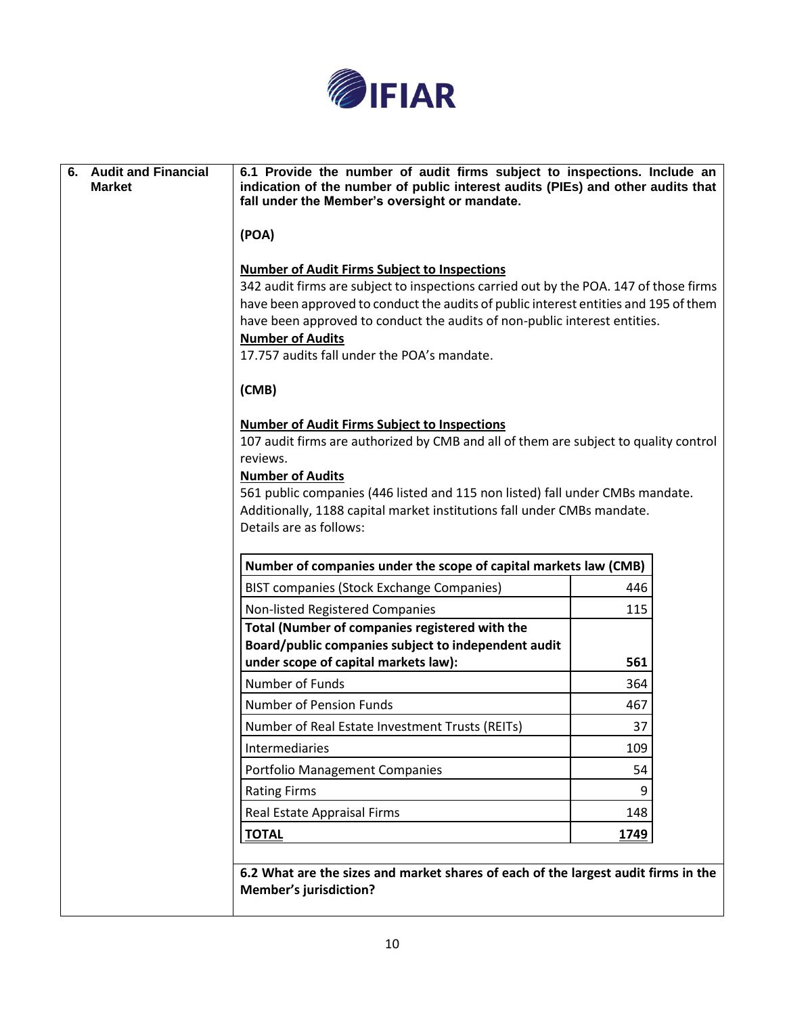

| <b>Audit and Financial</b><br>6.<br><b>Market</b> | 6.1 Provide the number of audit firms subject to inspections. Include an<br>indication of the number of public interest audits (PIEs) and other audits that<br>fall under the Member's oversight or mandate.                                                                                                                                                                                |      |  |
|---------------------------------------------------|---------------------------------------------------------------------------------------------------------------------------------------------------------------------------------------------------------------------------------------------------------------------------------------------------------------------------------------------------------------------------------------------|------|--|
|                                                   | (POA)                                                                                                                                                                                                                                                                                                                                                                                       |      |  |
|                                                   | <b>Number of Audit Firms Subject to Inspections</b><br>342 audit firms are subject to inspections carried out by the POA. 147 of those firms<br>have been approved to conduct the audits of public interest entities and 195 of them<br>have been approved to conduct the audits of non-public interest entities.<br><b>Number of Audits</b><br>17.757 audits fall under the POA's mandate. |      |  |
|                                                   | (CMB)                                                                                                                                                                                                                                                                                                                                                                                       |      |  |
|                                                   | <b>Number of Audit Firms Subject to Inspections</b><br>107 audit firms are authorized by CMB and all of them are subject to quality control<br>reviews.<br><b>Number of Audits</b><br>561 public companies (446 listed and 115 non listed) fall under CMBs mandate.<br>Additionally, 1188 capital market institutions fall under CMBs mandate.<br>Details are as follows:                   |      |  |
|                                                   | Number of companies under the scope of capital markets law (CMB)                                                                                                                                                                                                                                                                                                                            |      |  |
|                                                   | <b>BIST companies (Stock Exchange Companies)</b>                                                                                                                                                                                                                                                                                                                                            | 446  |  |
|                                                   | Non-listed Registered Companies                                                                                                                                                                                                                                                                                                                                                             | 115  |  |
|                                                   | Total (Number of companies registered with the                                                                                                                                                                                                                                                                                                                                              |      |  |
|                                                   | Board/public companies subject to independent audit<br>under scope of capital markets law):                                                                                                                                                                                                                                                                                                 | 561  |  |
|                                                   | Number of Funds                                                                                                                                                                                                                                                                                                                                                                             | 364  |  |
|                                                   | Number of Pension Funds                                                                                                                                                                                                                                                                                                                                                                     | 467  |  |
|                                                   | Number of Real Estate Investment Trusts (REITs)                                                                                                                                                                                                                                                                                                                                             | 37   |  |
|                                                   | Intermediaries                                                                                                                                                                                                                                                                                                                                                                              | 109  |  |
|                                                   | <b>Portfolio Management Companies</b>                                                                                                                                                                                                                                                                                                                                                       | 54   |  |
|                                                   | <b>Rating Firms</b>                                                                                                                                                                                                                                                                                                                                                                         | 9    |  |
|                                                   | Real Estate Appraisal Firms                                                                                                                                                                                                                                                                                                                                                                 | 148  |  |
|                                                   | <b>TOTAL</b>                                                                                                                                                                                                                                                                                                                                                                                | 1749 |  |
|                                                   |                                                                                                                                                                                                                                                                                                                                                                                             |      |  |
|                                                   | 6.2 What are the sizes and market shares of each of the largest audit firms in the<br><b>Member's jurisdiction?</b>                                                                                                                                                                                                                                                                         |      |  |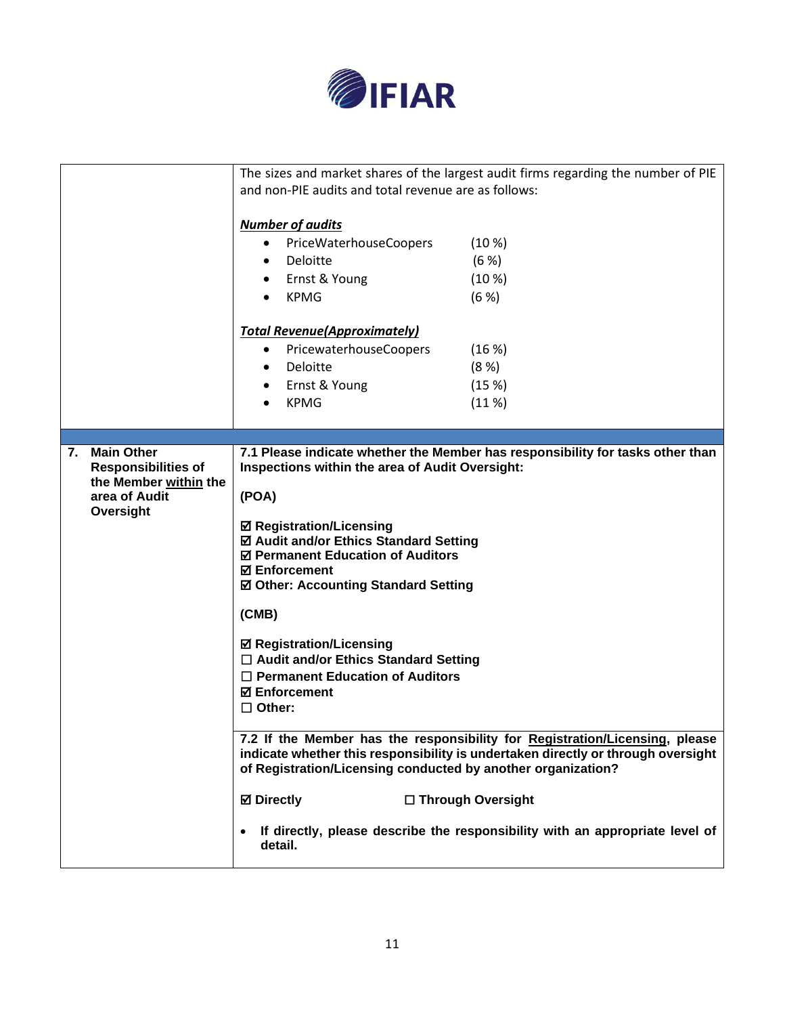

|                            |                                                                                                                                             |                                                 |  | The sizes and market shares of the largest audit firms regarding the number of PIE |
|----------------------------|---------------------------------------------------------------------------------------------------------------------------------------------|-------------------------------------------------|--|------------------------------------------------------------------------------------|
|                            | and non-PIE audits and total revenue are as follows:                                                                                        |                                                 |  |                                                                                    |
|                            |                                                                                                                                             |                                                 |  |                                                                                    |
|                            | <b>Number of audits</b>                                                                                                                     |                                                 |  |                                                                                    |
|                            | PriceWaterhouseCoopers<br>(10 %)<br>$\bullet$                                                                                               |                                                 |  |                                                                                    |
|                            | $\bullet$                                                                                                                                   | Deloitte                                        |  | (6 %)                                                                              |
|                            |                                                                                                                                             | Ernst & Young                                   |  | (10 %)                                                                             |
|                            |                                                                                                                                             | <b>KPMG</b>                                     |  | (6 %)                                                                              |
|                            |                                                                                                                                             |                                                 |  |                                                                                    |
|                            |                                                                                                                                             | <b>Total Revenue (Approximately)</b>            |  |                                                                                    |
|                            | $\bullet$                                                                                                                                   | PricewaterhouseCoopers                          |  | (16%)                                                                              |
|                            | $\bullet$                                                                                                                                   | Deloitte                                        |  | (8 %)                                                                              |
|                            |                                                                                                                                             | Ernst & Young                                   |  | (15%)                                                                              |
|                            |                                                                                                                                             | <b>KPMG</b>                                     |  | (11%)                                                                              |
|                            |                                                                                                                                             |                                                 |  |                                                                                    |
| 7. Main Other              |                                                                                                                                             |                                                 |  | 7.1 Please indicate whether the Member has responsibility for tasks other than     |
| <b>Responsibilities of</b> |                                                                                                                                             | Inspections within the area of Audit Oversight: |  |                                                                                    |
| the Member within the      |                                                                                                                                             |                                                 |  |                                                                                    |
| area of Audit              | (POA)                                                                                                                                       |                                                 |  |                                                                                    |
| Oversight                  |                                                                                                                                             | ☑ Registration/Licensing                        |  |                                                                                    |
|                            | ☑ Audit and/or Ethics Standard Setting<br>☑ Permanent Education of Auditors<br><b>☑ Enforcement</b><br>☑ Other: Accounting Standard Setting |                                                 |  |                                                                                    |
|                            |                                                                                                                                             |                                                 |  |                                                                                    |
|                            |                                                                                                                                             |                                                 |  |                                                                                    |
|                            |                                                                                                                                             |                                                 |  |                                                                                    |
|                            | (CMB)                                                                                                                                       |                                                 |  |                                                                                    |
|                            |                                                                                                                                             | <b>Ø Registration/Licensing</b>                 |  |                                                                                    |
|                            |                                                                                                                                             | $\Box$ Audit and/or Ethics Standard Setting     |  |                                                                                    |
|                            |                                                                                                                                             | $\Box$ Permanent Education of Auditors          |  |                                                                                    |
|                            |                                                                                                                                             | <b>☑ Enforcement</b>                            |  |                                                                                    |
|                            | $\Box$ Other:                                                                                                                               |                                                 |  |                                                                                    |
|                            |                                                                                                                                             |                                                 |  | 7.2 If the Member has the responsibility for Registration/Licensing, please        |
|                            |                                                                                                                                             |                                                 |  | indicate whether this responsibility is undertaken directly or through oversight   |
|                            |                                                                                                                                             |                                                 |  | of Registration/Licensing conducted by another organization?                       |
|                            | <b>⊠</b> Directly                                                                                                                           |                                                 |  | □ Through Oversight                                                                |
|                            | $\bullet$                                                                                                                                   | detail.                                         |  | If directly, please describe the responsibility with an appropriate level of       |
|                            |                                                                                                                                             |                                                 |  |                                                                                    |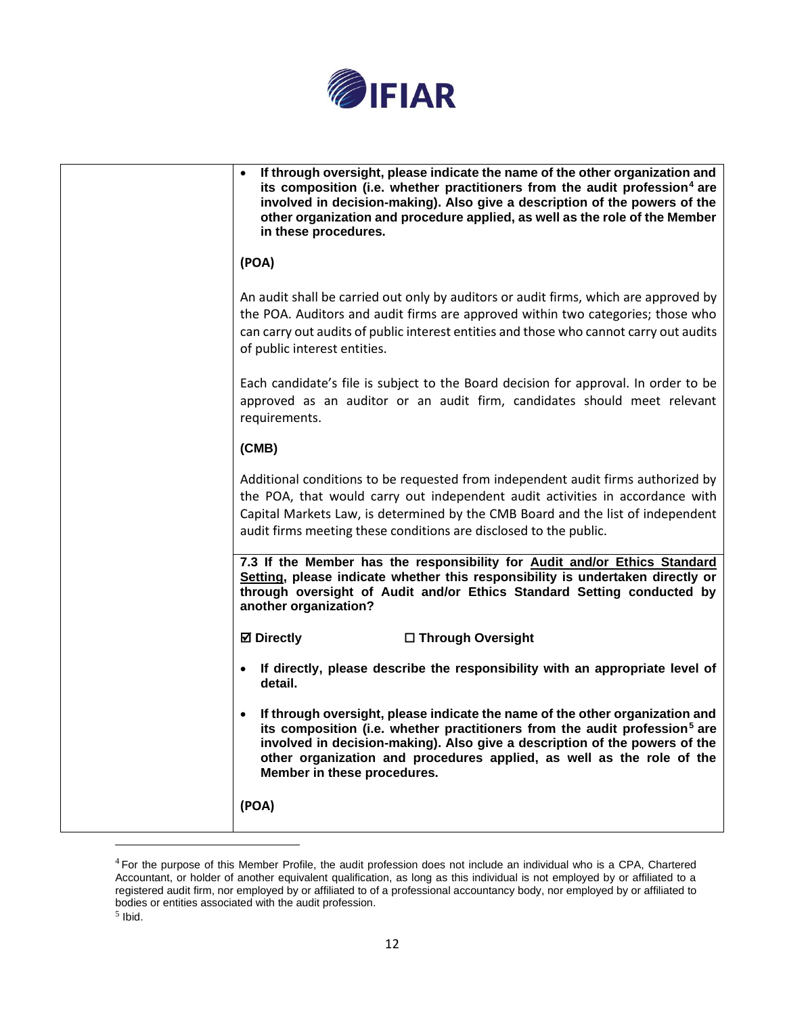

| If through oversight, please indicate the name of the other organization and<br>$\bullet$<br>its composition (i.e. whether practitioners from the audit profession <sup>4</sup> are<br>involved in decision-making). Also give a description of the powers of the<br>other organization and procedure applied, as well as the role of the Member<br>in these procedures. |
|--------------------------------------------------------------------------------------------------------------------------------------------------------------------------------------------------------------------------------------------------------------------------------------------------------------------------------------------------------------------------|
| (POA)                                                                                                                                                                                                                                                                                                                                                                    |
| An audit shall be carried out only by auditors or audit firms, which are approved by<br>the POA. Auditors and audit firms are approved within two categories; those who<br>can carry out audits of public interest entities and those who cannot carry out audits<br>of public interest entities.                                                                        |
| Each candidate's file is subject to the Board decision for approval. In order to be<br>approved as an auditor or an audit firm, candidates should meet relevant<br>requirements.                                                                                                                                                                                         |
| (CMB)                                                                                                                                                                                                                                                                                                                                                                    |
| Additional conditions to be requested from independent audit firms authorized by<br>the POA, that would carry out independent audit activities in accordance with<br>Capital Markets Law, is determined by the CMB Board and the list of independent<br>audit firms meeting these conditions are disclosed to the public.                                                |
| 7.3 If the Member has the responsibility for Audit and/or Ethics Standard<br>Setting, please indicate whether this responsibility is undertaken directly or<br>through oversight of Audit and/or Ethics Standard Setting conducted by<br>another organization?                                                                                                           |
| <b>Ø</b> Directly<br>□ Through Oversight                                                                                                                                                                                                                                                                                                                                 |
| If directly, please describe the responsibility with an appropriate level of<br>$\bullet$<br>detail.                                                                                                                                                                                                                                                                     |
| If through oversight, please indicate the name of the other organization and<br>its composition (i.e. whether practitioners from the audit profession <sup>5</sup> are<br>involved in decision-making). Also give a description of the powers of the<br>other organization and procedures applied, as well as the role of the<br>Member in these procedures.             |
| (POA)                                                                                                                                                                                                                                                                                                                                                                    |

 $4$  For the purpose of this Member Profile, the audit profession does not include an individual who is a CPA, Chartered Accountant, or holder of another equivalent qualification, as long as this individual is not employed by or affiliated to a registered audit firm, nor employed by or affiliated to of a professional accountancy body, nor employed by or affiliated to bodies or entities associated with the audit profession.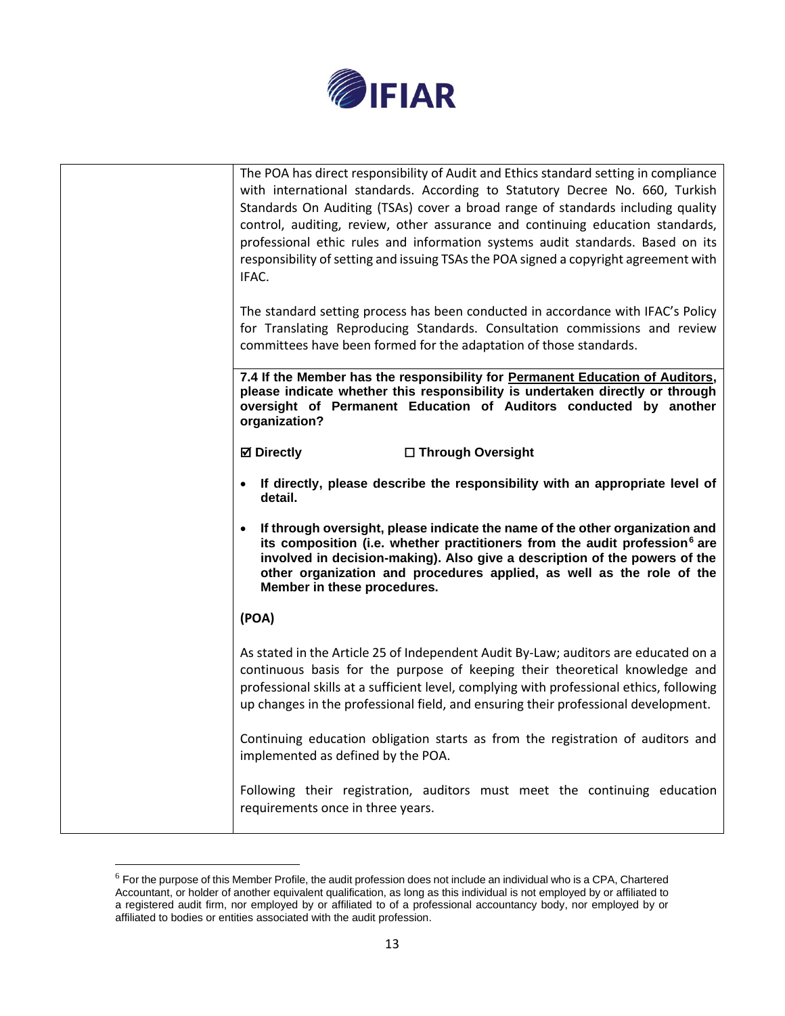

| The POA has direct responsibility of Audit and Ethics standard setting in compliance<br>with international standards. According to Statutory Decree No. 660, Turkish<br>Standards On Auditing (TSAs) cover a broad range of standards including quality<br>control, auditing, review, other assurance and continuing education standards,<br>professional ethic rules and information systems audit standards. Based on its<br>responsibility of setting and issuing TSAs the POA signed a copyright agreement with<br>IFAC. |
|------------------------------------------------------------------------------------------------------------------------------------------------------------------------------------------------------------------------------------------------------------------------------------------------------------------------------------------------------------------------------------------------------------------------------------------------------------------------------------------------------------------------------|
| The standard setting process has been conducted in accordance with IFAC's Policy<br>for Translating Reproducing Standards. Consultation commissions and review<br>committees have been formed for the adaptation of those standards.                                                                                                                                                                                                                                                                                         |
| 7.4 If the Member has the responsibility for Permanent Education of Auditors,<br>please indicate whether this responsibility is undertaken directly or through<br>oversight of Permanent Education of Auditors conducted by another<br>organization?                                                                                                                                                                                                                                                                         |
| <b>Ø</b> Directly<br>□ Through Oversight                                                                                                                                                                                                                                                                                                                                                                                                                                                                                     |
| If directly, please describe the responsibility with an appropriate level of<br>detail.                                                                                                                                                                                                                                                                                                                                                                                                                                      |
| If through oversight, please indicate the name of the other organization and<br>$\bullet$<br>its composition (i.e. whether practitioners from the audit profession <sup>6</sup> are<br>involved in decision-making). Also give a description of the powers of the<br>other organization and procedures applied, as well as the role of the<br>Member in these procedures.                                                                                                                                                    |
| (POA)                                                                                                                                                                                                                                                                                                                                                                                                                                                                                                                        |
| As stated in the Article 25 of Independent Audit By-Law; auditors are educated on a<br>continuous basis for the purpose of keeping their theoretical knowledge and<br>professional skills at a sufficient level, complying with professional ethics, following<br>up changes in the professional field, and ensuring their professional development.                                                                                                                                                                         |
| Continuing education obligation starts as from the registration of auditors and<br>implemented as defined by the POA.                                                                                                                                                                                                                                                                                                                                                                                                        |
| Following their registration, auditors must meet the continuing education<br>requirements once in three years.                                                                                                                                                                                                                                                                                                                                                                                                               |

 $6$  For the purpose of this Member Profile, the audit profession does not include an individual who is a CPA, Chartered Accountant, or holder of another equivalent qualification, as long as this individual is not employed by or affiliated to a registered audit firm, nor employed by or affiliated to of a professional accountancy body, nor employed by or affiliated to bodies or entities associated with the audit profession.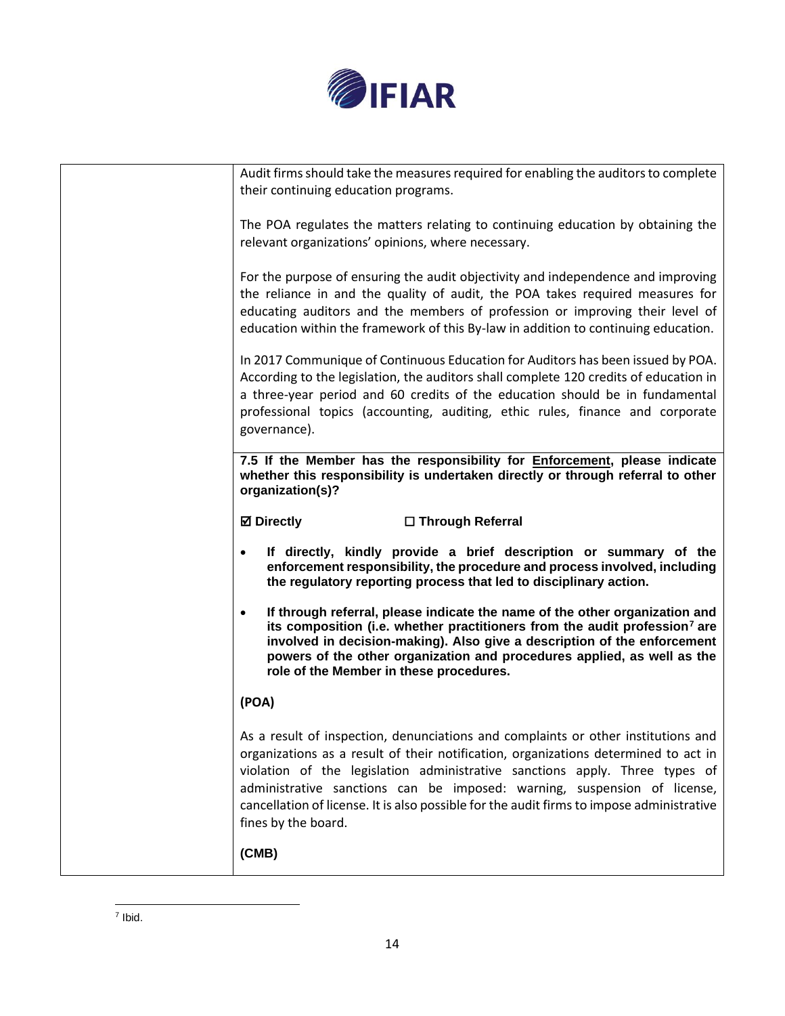

| Audit firms should take the measures required for enabling the auditors to complete<br>their continuing education programs.                                                                                                                                                                                                                                                                                                                             |
|---------------------------------------------------------------------------------------------------------------------------------------------------------------------------------------------------------------------------------------------------------------------------------------------------------------------------------------------------------------------------------------------------------------------------------------------------------|
| The POA regulates the matters relating to continuing education by obtaining the<br>relevant organizations' opinions, where necessary.                                                                                                                                                                                                                                                                                                                   |
| For the purpose of ensuring the audit objectivity and independence and improving<br>the reliance in and the quality of audit, the POA takes required measures for<br>educating auditors and the members of profession or improving their level of<br>education within the framework of this By-law in addition to continuing education.                                                                                                                 |
| In 2017 Communique of Continuous Education for Auditors has been issued by POA.<br>According to the legislation, the auditors shall complete 120 credits of education in<br>a three-year period and 60 credits of the education should be in fundamental<br>professional topics (accounting, auditing, ethic rules, finance and corporate<br>governance).                                                                                               |
| 7.5 If the Member has the responsibility for <b>Enforcement</b> , please indicate<br>whether this responsibility is undertaken directly or through referral to other<br>organization(s)?                                                                                                                                                                                                                                                                |
| <b>⊠</b> Directly<br>□ Through Referral                                                                                                                                                                                                                                                                                                                                                                                                                 |
| If directly, kindly provide a brief description or summary of the<br>enforcement responsibility, the procedure and process involved, including<br>the regulatory reporting process that led to disciplinary action.                                                                                                                                                                                                                                     |
| If through referral, please indicate the name of the other organization and<br>$\bullet$<br>its composition (i.e. whether practitioners from the audit profession <sup>7</sup> are<br>involved in decision-making). Also give a description of the enforcement<br>powers of the other organization and procedures applied, as well as the<br>role of the Member in these procedures.                                                                    |
| (POA)                                                                                                                                                                                                                                                                                                                                                                                                                                                   |
| As a result of inspection, denunciations and complaints or other institutions and<br>organizations as a result of their notification, organizations determined to act in<br>violation of the legislation administrative sanctions apply. Three types of<br>administrative sanctions can be imposed: warning, suspension of license,<br>cancellation of license. It is also possible for the audit firms to impose administrative<br>fines by the board. |
| (CMB)                                                                                                                                                                                                                                                                                                                                                                                                                                                   |
|                                                                                                                                                                                                                                                                                                                                                                                                                                                         |